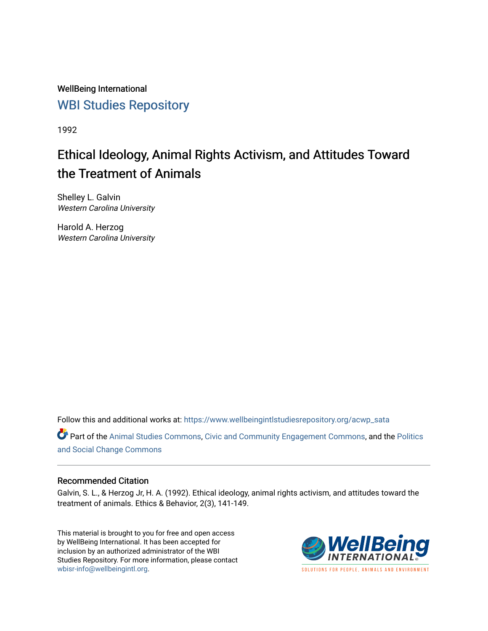WellBeing International [WBI Studies Repository](https://www.wellbeingintlstudiesrepository.org/)

1992

# Ethical Ideology, Animal Rights Activism, and Attitudes Toward the Treatment of Animals

Shelley L. Galvin Western Carolina University

Harold A. Herzog Western Carolina University

Follow this and additional works at: [https://www.wellbeingintlstudiesrepository.org/acwp\\_sata](https://www.wellbeingintlstudiesrepository.org/acwp_sata?utm_source=www.wellbeingintlstudiesrepository.org%2Facwp_sata%2F23&utm_medium=PDF&utm_campaign=PDFCoverPages)

Part of the [Animal Studies Commons,](http://network.bepress.com/hgg/discipline/1306?utm_source=www.wellbeingintlstudiesrepository.org%2Facwp_sata%2F23&utm_medium=PDF&utm_campaign=PDFCoverPages) [Civic and Community Engagement Commons](http://network.bepress.com/hgg/discipline/1028?utm_source=www.wellbeingintlstudiesrepository.org%2Facwp_sata%2F23&utm_medium=PDF&utm_campaign=PDFCoverPages), and the [Politics](http://network.bepress.com/hgg/discipline/425?utm_source=www.wellbeingintlstudiesrepository.org%2Facwp_sata%2F23&utm_medium=PDF&utm_campaign=PDFCoverPages) [and Social Change Commons](http://network.bepress.com/hgg/discipline/425?utm_source=www.wellbeingintlstudiesrepository.org%2Facwp_sata%2F23&utm_medium=PDF&utm_campaign=PDFCoverPages)

## Recommended Citation

Galvin, S. L., & Herzog Jr, H. A. (1992). Ethical ideology, animal rights activism, and attitudes toward the treatment of animals. Ethics & Behavior, 2(3), 141-149.

This material is brought to you for free and open access by WellBeing International. It has been accepted for inclusion by an authorized administrator of the WBI Studies Repository. For more information, please contact [wbisr-info@wellbeingintl.org](mailto:wbisr-info@wellbeingintl.org).



SOLUTIONS FOR PEOPLE. ANIMALS AND ENVIRONMENT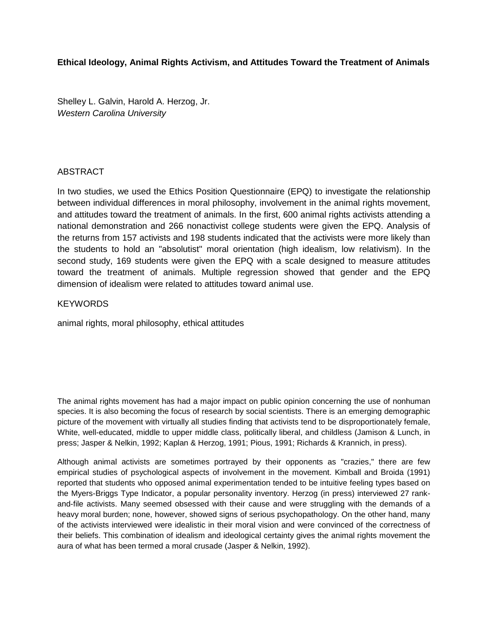# **Ethical Ideology, Animal Rights Activism, and Attitudes Toward the Treatment of Animals**

Shelley L. Galvin, Harold A. Herzog, Jr. *Western Carolina University*

# ABSTRACT

In two studies, we used the Ethics Position Questionnaire (EPQ) to investigate the relationship between individual differences in moral philosophy, involvement in the animal rights movement, and attitudes toward the treatment of animals. In the first, 600 animal rights activists attending a national demonstration and 266 nonactivist college students were given the EPQ. Analysis of the returns from 157 activists and 198 students indicated that the activists were more likely than the students to hold an "absolutist" moral orientation (high idealism, low relativism). In the second study, 169 students were given the EPQ with a scale designed to measure attitudes toward the treatment of animals. Multiple regression showed that gender and the EPQ dimension of idealism were related to attitudes toward animal use.

# **KEYWORDS**

animal rights, moral philosophy, ethical attitudes

The animal rights movement has had a major impact on public opinion concerning the use of nonhuman species. It is also becoming the focus of research by social scientists. There is an emerging demographic picture of the movement with virtually all studies finding that activists tend to be disproportionately female, White, well-educated, middle to upper middle class, politically liberal, and childless (Jamison & Lunch, in press; Jasper & Nelkin, 1992; Kaplan & Herzog, 1991; Pious, 1991; Richards & Krannich, in press).

Although animal activists are sometimes portrayed by their opponents as "crazies," there are few empirical studies of psychological aspects of involvement in the movement. Kimball and Broida (1991) reported that students who opposed animal experimentation tended to be intuitive feeling types based on the Myers-Briggs Type Indicator, a popular personality inventory. Herzog (in press) interviewed 27 rankand-file activists. Many seemed obsessed with their cause and were struggling with the demands of a heavy moral burden; none, however, showed signs of serious psychopathology. On the other hand, many of the activists interviewed were idealistic in their moral vision and were convinced of the correctness of their beliefs. This combination of idealism and ideological certainty gives the animal rights movement the aura of what has been termed a moral crusade (Jasper & Nelkin, 1992).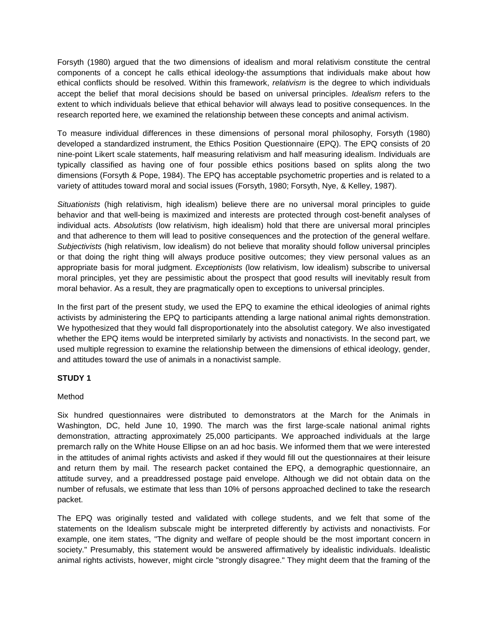Forsyth (1980) argued that the two dimensions of idealism and moral relativism constitute the central components of a concept he calls ethical ideology-the assumptions that individuals make about how ethical conflicts should be resolved. Within this framework, *relativism* is the degree to which individuals accept the belief that moral decisions should be based on universal principles. *Idealism* refers to the extent to which individuals believe that ethical behavior will always lead to positive consequences. In the research reported here, we examined the relationship between these concepts and animal activism.

To measure individual differences in these dimensions of personal moral philosophy, Forsyth (1980) developed a standardized instrument, the Ethics Position Questionnaire (EPQ). The EPQ consists of 20 nine-point Likert scale statements, half measuring relativism and half measuring idealism. Individuals are typically classified as having one of four possible ethics positions based on splits along the two dimensions (Forsyth & Pope, 1984). The EPQ has acceptable psychometric properties and is related to a variety of attitudes toward moral and social issues (Forsyth, 1980; Forsyth, Nye, & Kelley, 1987).

*Situationists* (high relativism, high idealism) believe there are no universal moral principles to guide behavior and that well-being is maximized and interests are protected through cost-benefit analyses of individual acts. *Absolutists* (low relativism, high idealism) hold that there are universal moral principles and that adherence to them will lead to positive consequences and the protection of the general welfare. *Subjectivists* (high relativism, low idealism) do not believe that morality should follow universal principles or that doing the right thing will always produce positive outcomes; they view personal values as an appropriate basis for moral judgment. *Exceptionists* (low relativism, low idealism) subscribe to universal moral principles, yet they are pessimistic about the prospect that good results will inevitably result from moral behavior. As a result, they are pragmatically open to exceptions to universal principles.

In the first part of the present study, we used the EPQ to examine the ethical ideologies of animal rights activists by administering the EPQ to participants attending a large national animal rights demonstration. We hypothesized that they would fall disproportionately into the absolutist category. We also investigated whether the EPQ items would be interpreted similarly by activists and nonactivists. In the second part, we used multiple regression to examine the relationship between the dimensions of ethical ideology, gender, and attitudes toward the use of animals in a nonactivist sample.

## **STUDY 1**

## Method

Six hundred questionnaires were distributed to demonstrators at the March for the Animals in Washington, DC, held June 10, 1990. The march was the first large-scale national animal rights demonstration, attracting approximately 25,000 participants. We approached individuals at the large premarch rally on the White House Ellipse on an ad hoc basis. We informed them that we were interested in the attitudes of animal rights activists and asked if they would fill out the questionnaires at their leisure and return them by mail. The research packet contained the EPQ, a demographic questionnaire, an attitude survey, and a preaddressed postage paid envelope. Although we did not obtain data on the number of refusals, we estimate that less than 10% of persons approached declined to take the research packet.

The EPQ was originally tested and validated with college students, and we felt that some of the statements on the Idealism subscale might be interpreted differently by activists and nonactivists. For example, one item states, "The dignity and welfare of people should be the most important concern in society." Presumably, this statement would be answered affirmatively by idealistic individuals. Idealistic animal rights activists, however, might circle "strongly disagree." They might deem that the framing of the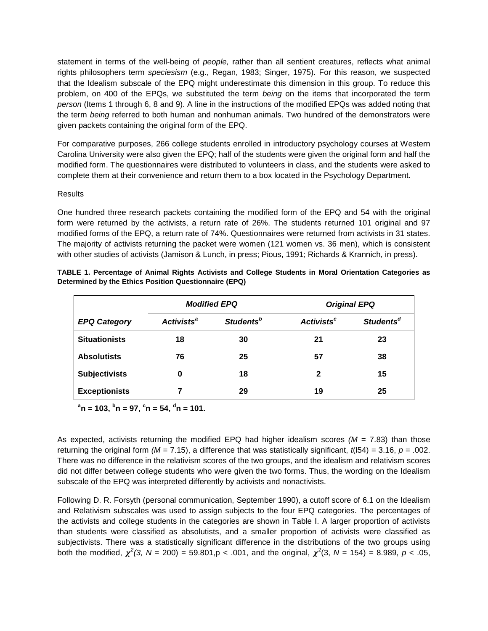statement in terms of the well-being of *people,* rather than all sentient creatures, reflects what animal rights philosophers term *speciesism* (e.g., Regan, 1983; Singer, 1975). For this reason, we suspected that the Idealism subscale of the EPQ might underestimate this dimension in this group. To reduce this problem, on 400 of the EPQs, we substituted the term *being* on the items that incorporated the term *person* (Items 1 through 6, 8 and 9). A line in the instructions of the modified EPQs was added noting that the term *being* referred to both human and nonhuman animals. Two hundred of the demonstrators were given packets containing the original form of the EPQ.

For comparative purposes, 266 college students enrolled in introductory psychology courses at Western Carolina University were also given the EPQ; half of the students were given the original form and half the modified form. The questionnaires were distributed to volunteers in class, and the students were asked to complete them at their convenience and return them to a box located in the Psychology Department.

#### **Results**

One hundred three research packets containing the modified form of the EPQ and 54 with the original form were returned by the activists, a return rate of 26%. The students returned 101 original and 97 modified forms of the EPQ, a return rate of 74%. Questionnaires were returned from activists in 31 states. The majority of activists returning the packet were women (121 women vs. 36 men), which is consistent with other studies of activists (Jamison & Lunch, in press; Pious, 1991; Richards & Krannich, in press).

|                      |                              | <b>Modified EPQ</b>   | <b>Original EPQ</b>    |                       |  |  |
|----------------------|------------------------------|-----------------------|------------------------|-----------------------|--|--|
| <b>EPQ Category</b>  | <b>Activists<sup>a</sup></b> | Students <sup>b</sup> | Activists <sup>c</sup> | Students <sup>d</sup> |  |  |
| <b>Situationists</b> | 18                           | 30                    | 21                     | 23                    |  |  |
| <b>Absolutists</b>   | 76                           | 25                    | 57                     | 38                    |  |  |
| <b>Subjectivists</b> | 0                            | 18                    | 2                      | 15                    |  |  |
| <b>Exceptionists</b> |                              | 29                    | 19                     | 25                    |  |  |

| TABLE 1. Percentage of Animal Rights Activists and College Students in Moral Orientation Categories as |  |  |  |  |
|--------------------------------------------------------------------------------------------------------|--|--|--|--|
| Determined by the Ethics Position Questionnaire (EPQ)                                                  |  |  |  |  |

**a n = 103, b n = 97, <sup>c</sup> n = 54, <sup>d</sup> n = 101.**

As expected, activists returning the modified EPQ had higher idealism scores *(M* = 7.83) than those returning the original form  $(M = 7.15)$ , a difference that was statistically significant,  $t(154) = 3.16$ ,  $p = .002$ . There was no difference in the relativism scores of the two groups, and the idealism and relativism scores did not differ between college students who were given the two forms. Thus, the wording on the Idealism subscale of the EPQ was interpreted differently by activists and nonactivists.

Following D. R. Forsyth (personal communication, September 1990), a cutoff score of 6.1 on the Idealism and Relativism subscales was used to assign subjects to the four EPQ categories. The percentages of the activists and college students in the categories are shown in Table I. A larger proportion of activists than students were classified as absolutists, and a smaller proportion of activists were classified as subjectivists. There was a statistically significant difference in the distributions of the two groups using both the modified,  $\chi^2(3, N = 200) = 59.801$ , p < .001, and the original,  $\chi^2(3, N = 154) = 8.989$ , p < .05,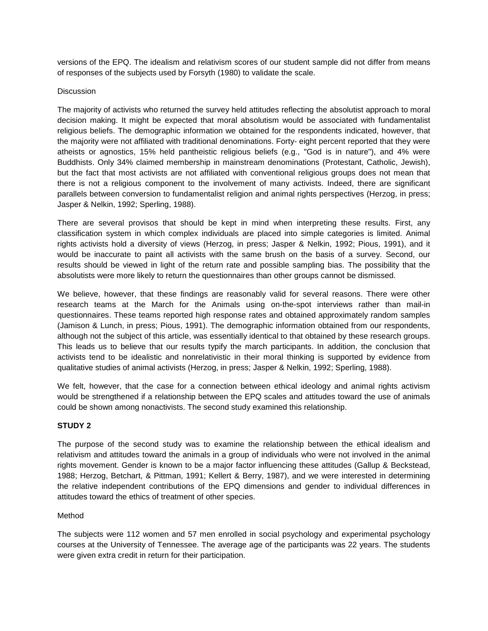versions of the EPQ. The idealism and relativism scores of our student sample did not differ from means of responses of the subjects used by Forsyth (1980) to validate the scale.

#### **Discussion**

The majority of activists who returned the survey held attitudes reflecting the absolutist approach to moral decision making. It might be expected that moral absolutism would be associated with fundamentalist religious beliefs. The demographic information we obtained for the respondents indicated, however, that the majority were not affiliated with traditional denominations. Forty- eight percent reported that they were atheists or agnostics, 15% held pantheistic religious beliefs (e.g., "God is in nature"), and 4% were Buddhists. Only 34% claimed membership in mainstream denominations (Protestant, Catholic, Jewish), but the fact that most activists are not affiliated with conventional religious groups does not mean that there is not a religious component to the involvement of many activists. Indeed, there are significant parallels between conversion to fundamentalist religion and animal rights perspectives (Herzog, in press; Jasper & Nelkin, 1992; Sperling, 1988).

There are several provisos that should be kept in mind when interpreting these results. First, any classification system in which complex individuals are placed into simple categories is limited. Animal rights activists hold a diversity of views (Herzog, in press; Jasper & Nelkin, 1992; Pious, 1991), and it would be inaccurate to paint all activists with the same brush on the basis of a survey. Second, our results should be viewed in light of the return rate and possible sampling bias. The possibility that the absolutists were more likely to return the questionnaires than other groups cannot be dismissed.

We believe, however, that these findings are reasonably valid for several reasons. There were other research teams at the March for the Animals using on-the-spot interviews rather than mail-in questionnaires. These teams reported high response rates and obtained approximately random samples (Jamison & Lunch, in press; Pious, 1991). The demographic information obtained from our respondents, although not the subject of this article, was essentially identical to that obtained by these research groups. This leads us to believe that our results typify the march participants. In addition, the conclusion that activists tend to be idealistic and nonrelativistic in their moral thinking is supported by evidence from qualitative studies of animal activists (Herzog, in press; Jasper & Nelkin, 1992; Sperling, 1988).

We felt, however, that the case for a connection between ethical ideology and animal rights activism would be strengthened if a relationship between the EPQ scales and attitudes toward the use of animals could be shown among nonactivists. The second study examined this relationship.

## **STUDY 2**

The purpose of the second study was to examine the relationship between the ethical idealism and relativism and attitudes toward the animals in a group of individuals who were not involved in the animal rights movement. Gender is known to be a major factor influencing these attitudes (Gallup & Beckstead, 1988; Herzog, Betchart, & Pittman, 1991; Kellert & Berry, 1987), and we were interested in determining the relative independent contributions of the EPQ dimensions and gender to individual differences in attitudes toward the ethics of treatment of other species.

## Method

The subjects were 112 women and 57 men enrolled in social psychology and experimental psychology courses at the University of Tennessee. The average age of the participants was 22 years. The students were given extra credit in return for their participation.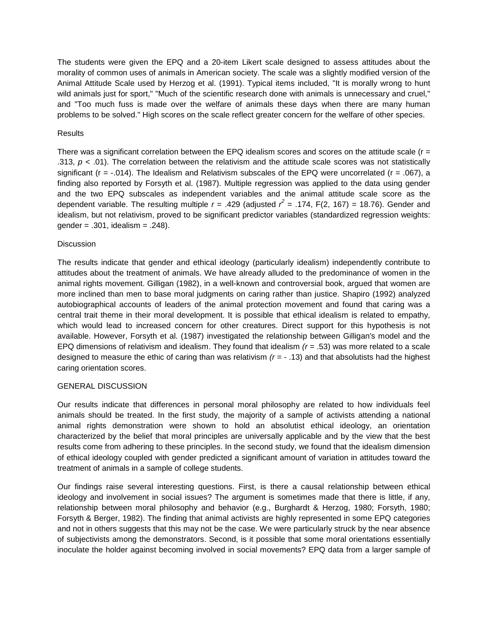The students were given the EPQ and a 20-item Likert scale designed to assess attitudes about the morality of common uses of animals in American society. The scale was a slightly modified version of the Animal Attitude Scale used by Herzog et al. (1991). Typical items included, "It is morally wrong to hunt wild animals just for sport," "Much of the scientific research done with animals is unnecessary and cruel," and "Too much fuss is made over the welfare of animals these days when there are many human problems to be solved." High scores on the scale reflect greater concern for the welfare of other species.

#### **Results**

There was a significant correlation between the EPQ idealism scores and scores on the attitude scale ( $r =$ .313,  $p < .01$ ). The correlation between the relativism and the attitude scale scores was not statistically significant ( $r = -0.014$ ). The Idealism and Relativism subscales of the EPQ were uncorrelated ( $r = 0.067$ ), a finding also reported by Forsyth et al. (1987). Multiple regression was applied to the data using gender and the two EPQ subscales as independent variables and the animal attitude scale score as the dependent variable. The resulting multiple  $r = .429$  (adjusted  $r^2 = .174$ , F(2, 167) = 18.76). Gender and idealism, but not relativism, proved to be significant predictor variables (standardized regression weights:  $gender = .301$ , idealism =  $.248$ ).

#### **Discussion**

The results indicate that gender and ethical ideology (particularly idealism) independently contribute to attitudes about the treatment of animals. We have already alluded to the predominance of women in the animal rights movement. Gilligan (1982), in a well-known and controversial book, argued that women are more inclined than men to base moral judgments on caring rather than justice. Shapiro (1992) analyzed autobiographical accounts of leaders of the animal protection movement and found that caring was a central trait theme in their moral development. It is possible that ethical idealism is related to empathy, which would lead to increased concern for other creatures. Direct support for this hypothesis is not available. However, Forsyth et al. (1987) investigated the relationship between Gilligan's model and the EPQ dimensions of relativism and idealism. They found that idealism *(r* = .53) was more related to a scale designed to measure the ethic of caring than was relativism *(r* = - .13) and that absolutists had the highest caring orientation scores.

#### GENERAL DISCUSSION

Our results indicate that differences in personal moral philosophy are related to how individuals feel animals should be treated. In the first study, the majority of a sample of activists attending a national animal rights demonstration were shown to hold an absolutist ethical ideology, an orientation characterized by the belief that moral principles are universally applicable and by the view that the best results come from adhering to these principles. In the second study, we found that the idealism dimension of ethical ideology coupled with gender predicted a significant amount of variation in attitudes toward the treatment of animals in a sample of college students.

Our findings raise several interesting questions. First, is there a causal relationship between ethical ideology and involvement in social issues? The argument is sometimes made that there is little, if any, relationship between moral philosophy and behavior (e.g., Burghardt & Herzog, 1980; Forsyth, 1980; Forsyth & Berger, 1982). The finding that animal activists are highly represented in some EPQ categories and not in others suggests that this may not be the case. We were particularly struck by the near absence of subjectivists among the demonstrators. Second, is it possible that some moral orientations essentially inoculate the holder against becoming involved in social movements? EPQ data from a larger sample of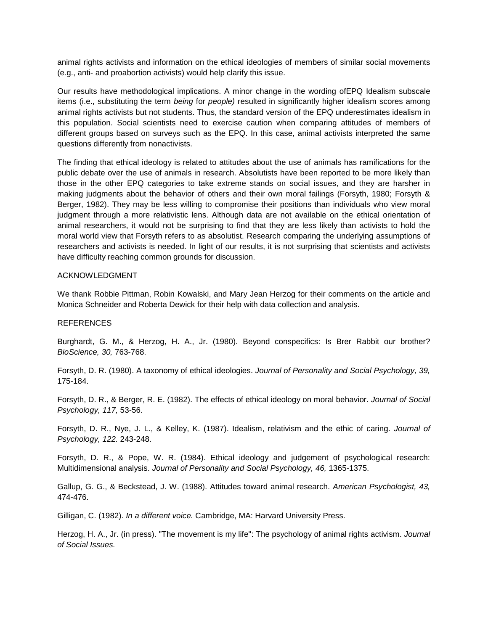animal rights activists and information on the ethical ideologies of members of similar social movements (e.g., anti- and proabortion activists) would help clarify this issue.

Our results have methodological implications. A minor change in the wording ofEPQ Idealism subscale items (i.e., substituting the term *being* for *people)* resulted in significantly higher idealism scores among animal rights activists but not students. Thus, the standard version of the EPQ underestimates idealism in this population. Social scientists need to exercise caution when comparing attitudes of members of different groups based on surveys such as the EPQ. In this case, animal activists interpreted the same questions differently from nonactivists.

The finding that ethical ideology is related to attitudes about the use of animals has ramifications for the public debate over the use of animals in research. Absolutists have been reported to be more likely than those in the other EPQ categories to take extreme stands on social issues, and they are harsher in making judgments about the behavior of others and their own moral failings (Forsyth, 1980; Forsyth & Berger, 1982). They may be less willing to compromise their positions than individuals who view moral judgment through a more relativistic lens. Although data are not available on the ethical orientation of animal researchers, it would not be surprising to find that they are less likely than activists to hold the moral world view that Forsyth refers to as absolutist. Research comparing the underlying assumptions of researchers and activists is needed. In light of our results, it is not surprising that scientists and activists have difficulty reaching common grounds for discussion.

#### ACKNOWLEDGMENT

We thank Robbie Pittman, Robin Kowalski, and Mary Jean Herzog for their comments on the article and Monica Schneider and Roberta Dewick for their help with data collection and analysis.

#### **REFERENCES**

Burghardt, G. M., & Herzog, H. A., Jr. (1980). Beyond conspecifics: Is Brer Rabbit our brother? *BioScience, 30,* 763-768.

Forsyth, D. R. (1980). A taxonomy of ethical ideologies. *Journal of Personality and Social Psychology, 39,*  175-184.

Forsyth, D. R., & Berger, R. E. (1982). The effects of ethical ideology on moral behavior. *Journal of Social Psychology, 117,* 53-56.

Forsyth, D. R., Nye, J. L., & Kelley, K. (1987). Idealism, relativism and the ethic of caring. *Journal of Psychology, 122.* 243-248.

Forsyth, D. R., & Pope, W. R. (1984). Ethical ideology and judgement of psychological research: Multidimensional analysis. Journal of Personality and Social Psychology, 46, 1365-1375.

Gallup, G. G., & Beckstead, J. W. (1988). Attitudes toward animal research. *American Psychologist, 43,*  474-476.

Gilligan, C. (1982). *In a different voice.* Cambridge, MA: Harvard University Press.

Herzog, H. A., Jr. (in press). "The movement is my life": The psychology of animal rights activism. *Journal of Social Issues.*